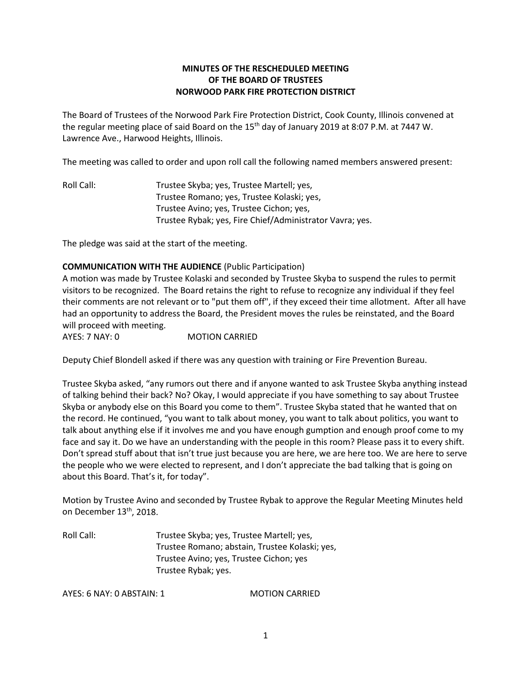# **MINUTES OF THE RESCHEDULED MEETING OF THE BOARD OF TRUSTEES NORWOOD PARK FIRE PROTECTION DISTRICT**

The Board of Trustees of the Norwood Park Fire Protection District, Cook County, Illinois convened at the regular meeting place of said Board on the 15<sup>th</sup> day of January 2019 at 8:07 P.M. at 7447 W. Lawrence Ave., Harwood Heights, Illinois.

The meeting was called to order and upon roll call the following named members answered present:

Roll Call: Trustee Skyba; yes, Trustee Martell; yes, Trustee Romano; yes, Trustee Kolaski; yes, Trustee Avino; yes, Trustee Cichon; yes, Trustee Rybak; yes, Fire Chief/Administrator Vavra; yes.

The pledge was said at the start of the meeting.

### **COMMUNICATION WITH THE AUDIENCE** (Public Participation)

A motion was made by Trustee Kolaski and seconded by Trustee Skyba to suspend the rules to permit visitors to be recognized. The Board retains the right to refuse to recognize any individual if they feel their comments are not relevant or to "put them off", if they exceed their time allotment. After all have had an opportunity to address the Board, the President moves the rules be reinstated, and the Board will proceed with meeting.

AYES: 7 NAY: 0 MOTION CARRIED

Deputy Chief Blondell asked if there was any question with training or Fire Prevention Bureau.

Trustee Skyba asked, "any rumors out there and if anyone wanted to ask Trustee Skyba anything instead of talking behind their back? No? Okay, I would appreciate if you have something to say about Trustee Skyba or anybody else on this Board you come to them". Trustee Skyba stated that he wanted that on the record. He continued, "you want to talk about money, you want to talk about politics, you want to talk about anything else if it involves me and you have enough gumption and enough proof come to my face and say it. Do we have an understanding with the people in this room? Please pass it to every shift. Don't spread stuff about that isn't true just because you are here, we are here too. We are here to serve the people who we were elected to represent, and I don't appreciate the bad talking that is going on about this Board. That's it, for today".

Motion by Trustee Avino and seconded by Trustee Rybak to approve the Regular Meeting Minutes held on December 13<sup>th</sup>, 2018.

Roll Call: Trustee Skyba; yes, Trustee Martell; yes, Trustee Romano; abstain, Trustee Kolaski; yes, Trustee Avino; yes, Trustee Cichon; yes Trustee Rybak; yes.

AYES: 6 NAY: 0 ABSTAIN: 1 MOTION CARRIED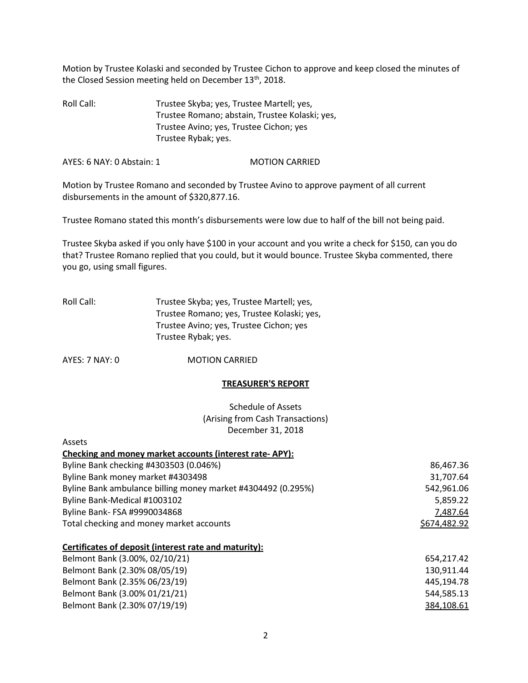Motion by Trustee Kolaski and seconded by Trustee Cichon to approve and keep closed the minutes of the Closed Session meeting held on December 13<sup>th</sup>, 2018.

Roll Call: Trustee Skyba; yes, Trustee Martell; yes, Trustee Romano; abstain, Trustee Kolaski; yes, Trustee Avino; yes, Trustee Cichon; yes Trustee Rybak; yes.

AYES: 6 NAY: 0 Abstain: 1 MOTION CARRIED

Motion by Trustee Romano and seconded by Trustee Avino to approve payment of all current disbursements in the amount of \$320,877.16.

Trustee Romano stated this month's disbursements were low due to half of the bill not being paid.

Trustee Skyba asked if you only have \$100 in your account and you write a check for \$150, can you do that? Trustee Romano replied that you could, but it would bounce. Trustee Skyba commented, there you go, using small figures.

| Roll Call: | Trustee Skyba; yes, Trustee Martell; yes,  |
|------------|--------------------------------------------|
|            | Trustee Romano; yes, Trustee Kolaski; yes, |
|            | Trustee Avino; yes, Trustee Cichon; yes    |
|            | Trustee Rybak; yes.                        |

AYES: 7 NAY: 0 **MOTION CARRIED** 

#### **TREASURER'S REPORT**

Schedule of Assets (Arising from Cash Transactions) December 31, 2018

| Assets                                                       |              |
|--------------------------------------------------------------|--------------|
| Checking and money market accounts (interest rate-APY):      |              |
| Byline Bank checking #4303503 (0.046%)                       | 86,467.36    |
| Byline Bank money market #4303498                            | 31,707.64    |
| Byline Bank ambulance billing money market #4304492 (0.295%) | 542,961.06   |
| Byline Bank-Medical #1003102                                 | 5,859.22     |
| Byline Bank- FSA #9990034868                                 | 7,487.64     |
| Total checking and money market accounts                     | \$674,482.92 |
| Certificates of deposit (interest rate and maturity):        |              |
| Belmont Bank (3.00%, 02/10/21)                               | 654,217.42   |
| Belmont Bank (2.30% 08/05/19)                                | 130,911.44   |
| Belmont Bank (2.35% 06/23/19)                                | 445,194.78   |
| Belmont Bank (3.00% 01/21/21)                                | 544,585.13   |
| Belmont Bank (2.30% 07/19/19)                                | 384,108.61   |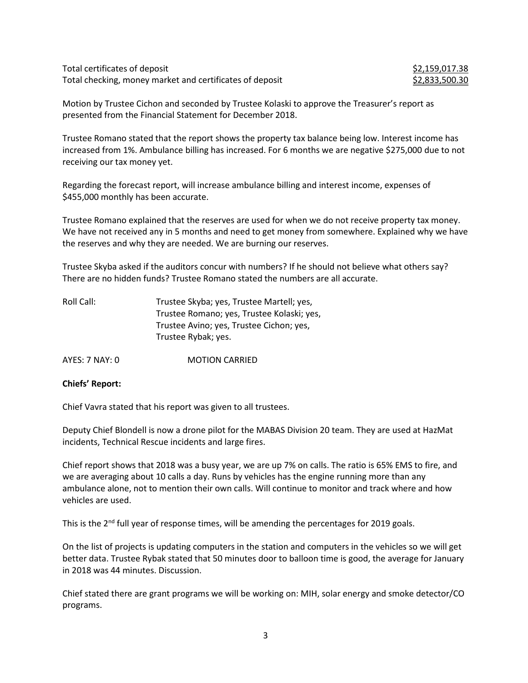Total certificates of deposit  $$2,159,017.38$ Total checking, money market and certificates of deposit  $$2,833,500.30$ 

Motion by Trustee Cichon and seconded by Trustee Kolaski to approve the Treasurer's report as presented from the Financial Statement for December 2018.

Trustee Romano stated that the report shows the property tax balance being low. Interest income has increased from 1%. Ambulance billing has increased. For 6 months we are negative \$275,000 due to not receiving our tax money yet.

Regarding the forecast report, will increase ambulance billing and interest income, expenses of \$455,000 monthly has been accurate.

Trustee Romano explained that the reserves are used for when we do not receive property tax money. We have not received any in 5 months and need to get money from somewhere. Explained why we have the reserves and why they are needed. We are burning our reserves.

Trustee Skyba asked if the auditors concur with numbers? If he should not believe what others say? There are no hidden funds? Trustee Romano stated the numbers are all accurate.

| Roll Call: | Trustee Skyba; yes, Trustee Martell; yes,  |
|------------|--------------------------------------------|
|            | Trustee Romano; yes, Trustee Kolaski; yes, |
|            | Trustee Avino; yes, Trustee Cichon; yes,   |
|            | Trustee Rybak; yes.                        |
|            |                                            |

AYES: 7 NAY: 0 MOTION CARRIED

# **Chiefs' Report:**

Chief Vavra stated that his report was given to all trustees.

Deputy Chief Blondell is now a drone pilot for the MABAS Division 20 team. They are used at HazMat incidents, Technical Rescue incidents and large fires.

Chief report shows that 2018 was a busy year, we are up 7% on calls. The ratio is 65% EMS to fire, and we are averaging about 10 calls a day. Runs by vehicles has the engine running more than any ambulance alone, not to mention their own calls. Will continue to monitor and track where and how vehicles are used.

This is the  $2<sup>nd</sup>$  full year of response times, will be amending the percentages for 2019 goals.

On the list of projects is updating computers in the station and computers in the vehicles so we will get better data. Trustee Rybak stated that 50 minutes door to balloon time is good, the average for January in 2018 was 44 minutes. Discussion.

Chief stated there are grant programs we will be working on: MIH, solar energy and smoke detector/CO programs.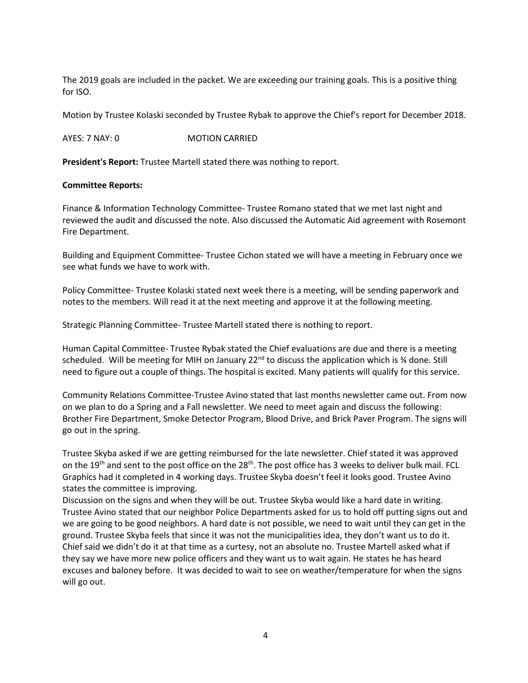The 2019 goals are included in the packet. We are exceeding our training goals. This is a positive thing for ISO.

Motion by Trustee Kolaski seconded by Trustee Rybak to approve the Chief's report for December 2018.

AYES: 7 NAY: 0 MOTION CARRIED

**President's Report:** Trustee Martell stated there was nothing to report.

#### **Committee Reports:**

Finance & Information Technology Committee- Trustee Romano stated that we met last night and reviewed the audit and discussed the note. Also discussed the Automatic Aid agreement with Rosemont Fire Department.

Building and Equipment Committee- Trustee Cichon stated we will have a meeting in February once we see what funds we have to work with.

Policy Committee- Trustee Kolaski stated next week there is a meeting, will be sending paperwork and notes to the members. Will read it at the next meeting and approve it at the following meeting.

Strategic Planning Committee- Trustee Martell stated there is nothing to report.

Human Capital Committee- Trustee Rybak stated the Chief evaluations are due and there is a meeting scheduled. Will be meeting for MIH on January  $22^{nd}$  to discuss the application which is  $\frac{3}{4}$  done. Still need to figure out a couple of things. The hospital is excited. Many patients will qualify for this service.

Community Relations Committee-Trustee Avino stated that last months newsletter came out. From now on we plan to do a Spring and a Fall newsletter. We need to meet again and discuss the following: Brother Fire Department, Smoke Detector Program, Blood Drive, and Brick Paver Program. The signs will go out in the spring.

Trustee Skyba asked if we are getting reimbursed for the late newsletter. Chief stated it was approved on the 19<sup>th</sup> and sent to the post office on the 28<sup>th</sup>. The post office has 3 weeks to deliver bulk mail. FCL Graphics had it completed in 4 working days. Trustee Skyba doesn't feel it looks good. Trustee Avino states the committee is improving.

Discussion on the signs and when they will be out. Trustee Skyba would like a hard date in writing. Trustee Avino stated that our neighbor Police Departments asked for us to hold off putting signs out and we are going to be good neighbors. A hard date is not possible, we need to wait until they can get in the ground. Trustee Skyba feels that since it was not the municipalities idea, they don't want us to do it. Chief said we didn't do it at that time as a curtesy, not an absolute no. Trustee Martell asked what if they say we have more new police officers and they want us to wait again. He states he has heard excuses and baloney before. It was decided to wait to see on weather/temperature for when the signs will go out.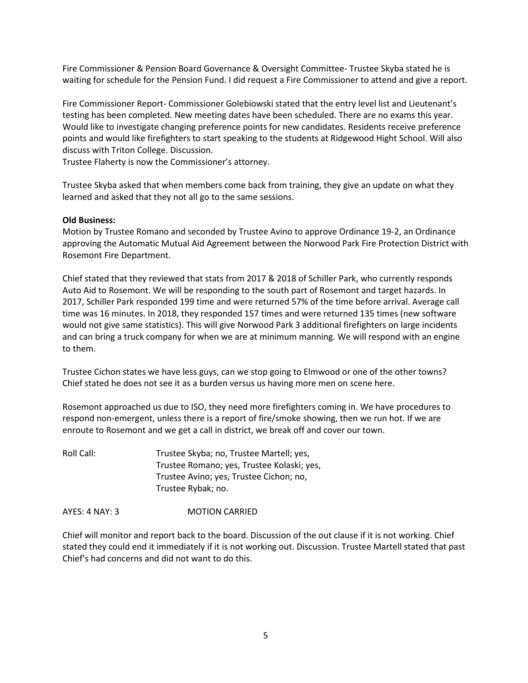Fire Commissioner & Pension Board Governance & Oversight Committee- Trustee Skyba stated he is waiting for schedule for the Pension Fund. I did request a Fire Commissioner to attend and give a report.

Fire Commissioner Report- Commissioner Golebiowski stated that the entry level list and Lieutenant's testing has been completed. New meeting dates have been scheduled. There are no exams this year. Would like to investigate changing preference points for new candidates. Residents receive preference points and would like firefighters to start speaking to the students at Ridgewood Hight School. Will also discuss with Triton College. Discussion.

Trustee Flaherty is now the Commissioner's attorney.

Trustee Skyba asked that when members come back from training, they give an update on what they learned and asked that they not all go to the same sessions.

#### **Old Business:**

Motion by Trustee Romano and seconded by Trustee Avino to approve Ordinance 19-2, an Ordinance approving the Automatic Mutual Aid Agreement between the Norwood Park Fire Protection District with Rosemont Fire Department.

Chief stated that they reviewed that stats from 2017 & 2018 of Schiller Park, who currently responds Auto Aid to Rosemont. We will be responding to the south part of Rosemont and target hazards. In 2017, Schiller Park responded 199 time and were returned 57% of the time before arrival. Average call time was 16 minutes. In 2018, they responded 157 times and were returned 135 times (new software would not give same statistics). This will give Norwood Park 3 additional firefighters on large incidents and can bring a truck company for when we are at minimum manning. We will respond with an engine to them.

Trustee Cichon states we have less guys, can we stop going to Elmwood or one of the other towns? Chief stated he does not see it as a burden versus us having more men on scene here.

Rosemont approached us due to ISO, they need more firefighters coming in. We have procedures to respond non-emergent, unless there is a report of fire/smoke showing, then we run hot. If we are enroute to Rosemont and we get a call in district, we break off and cover our town.

Roll Call: Trustee Skyba; no, Trustee Martell; yes, Trustee Romano; yes, Trustee Kolaski; yes, Trustee Avino; yes, Trustee Cichon; no, Trustee Rybak; no.

AYES: 4 NAY: 3 MOTION CARRIED

Chief will monitor and report back to the board. Discussion of the out clause if it is not working. Chief stated they could end it immediately if it is not working out. Discussion. Trustee Martell stated that past Chief's had concerns and did not want to do this.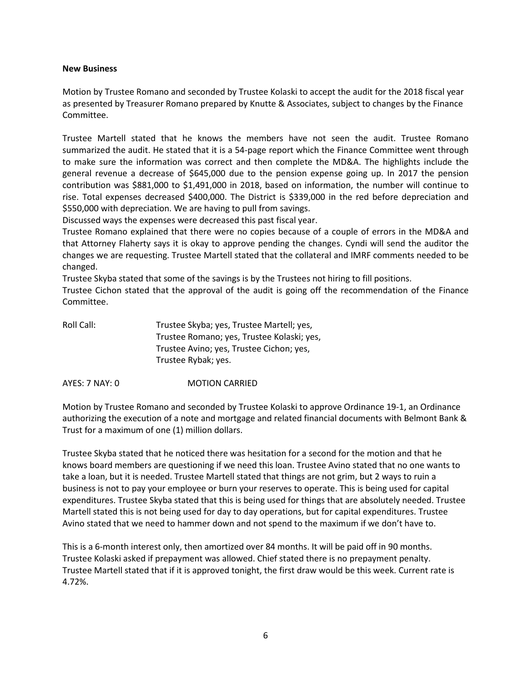### **New Business**

Motion by Trustee Romano and seconded by Trustee Kolaski to accept the audit for the 2018 fiscal year as presented by Treasurer Romano prepared by Knutte & Associates, subject to changes by the Finance Committee.

Trustee Martell stated that he knows the members have not seen the audit. Trustee Romano summarized the audit. He stated that it is a 54-page report which the Finance Committee went through to make sure the information was correct and then complete the MD&A. The highlights include the general revenue a decrease of \$645,000 due to the pension expense going up. In 2017 the pension contribution was \$881,000 to \$1,491,000 in 2018, based on information, the number will continue to rise. Total expenses decreased \$400,000. The District is \$339,000 in the red before depreciation and \$550,000 with depreciation. We are having to pull from savings.

Discussed ways the expenses were decreased this past fiscal year.

Trustee Romano explained that there were no copies because of a couple of errors in the MD&A and that Attorney Flaherty says it is okay to approve pending the changes. Cyndi will send the auditor the changes we are requesting. Trustee Martell stated that the collateral and IMRF comments needed to be changed.

Trustee Skyba stated that some of the savings is by the Trustees not hiring to fill positions.

Trustee Cichon stated that the approval of the audit is going off the recommendation of the Finance Committee.

| Roll Call: | Trustee Skyba; yes, Trustee Martell; yes,  |
|------------|--------------------------------------------|
|            | Trustee Romano; yes, Trustee Kolaski; yes, |
|            | Trustee Avino; yes, Trustee Cichon; yes,   |
|            | Trustee Rybak; yes.                        |
|            |                                            |

AYES: 7 NAY: 0 MOTION CARRIED

Motion by Trustee Romano and seconded by Trustee Kolaski to approve Ordinance 19-1, an Ordinance authorizing the execution of a note and mortgage and related financial documents with Belmont Bank & Trust for a maximum of one (1) million dollars.

Trustee Skyba stated that he noticed there was hesitation for a second for the motion and that he knows board members are questioning if we need this loan. Trustee Avino stated that no one wants to take a loan, but it is needed. Trustee Martell stated that things are not grim, but 2 ways to ruin a business is not to pay your employee or burn your reserves to operate. This is being used for capital expenditures. Trustee Skyba stated that this is being used for things that are absolutely needed. Trustee Martell stated this is not being used for day to day operations, but for capital expenditures. Trustee Avino stated that we need to hammer down and not spend to the maximum if we don't have to.

This is a 6-month interest only, then amortized over 84 months. It will be paid off in 90 months. Trustee Kolaski asked if prepayment was allowed. Chief stated there is no prepayment penalty. Trustee Martell stated that if it is approved tonight, the first draw would be this week. Current rate is 4.72%.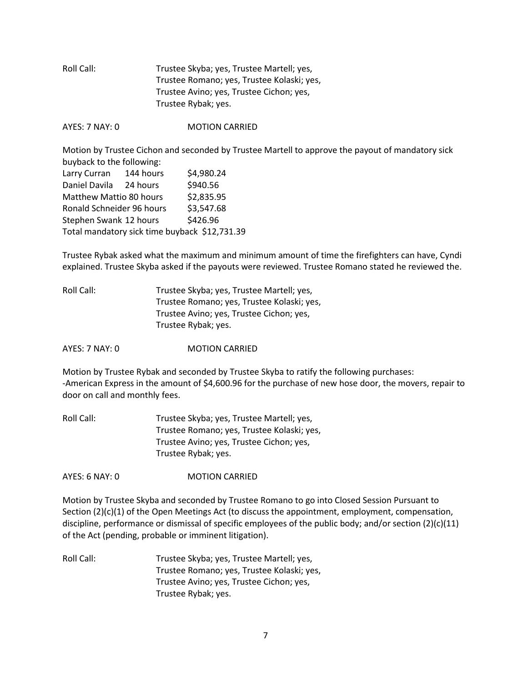| Roll Call: | Trustee Skyba; yes, Trustee Martell; yes,  |
|------------|--------------------------------------------|
|            | Trustee Romano; yes, Trustee Kolaski; yes, |
|            | Trustee Avino; yes, Trustee Cichon; yes,   |
|            | Trustee Rybak; yes.                        |
|            |                                            |

AYES: 7 NAY: 0 **MOTION CARRIED** 

Motion by Trustee Cichon and seconded by Trustee Martell to approve the payout of mandatory sick buyback to the following:

| Larry Curran                                  | 144 hours | \$4,980.24 |
|-----------------------------------------------|-----------|------------|
| Daniel Davila                                 | 24 hours  | \$940.56   |
| Matthew Mattio 80 hours                       |           | \$2,835.95 |
| Ronald Schneider 96 hours                     |           | \$3,547.68 |
| Stephen Swank 12 hours                        |           | \$426.96   |
| Total mandatory sick time buyback \$12,731.39 |           |            |

Trustee Rybak asked what the maximum and minimum amount of time the firefighters can have, Cyndi explained. Trustee Skyba asked if the payouts were reviewed. Trustee Romano stated he reviewed the.

Roll Call: Trustee Skyba; yes, Trustee Martell; yes, Trustee Romano; yes, Trustee Kolaski; yes, Trustee Avino; yes, Trustee Cichon; yes, Trustee Rybak; yes.

AYES: 7 NAY: 0 MOTION CARRIED

Motion by Trustee Rybak and seconded by Trustee Skyba to ratify the following purchases: -American Express in the amount of \$4,600.96 for the purchase of new hose door, the movers, repair to door on call and monthly fees.

| Roll Call: | Trustee Skyba; yes, Trustee Martell; yes,  |
|------------|--------------------------------------------|
|            | Trustee Romano; yes, Trustee Kolaski; yes, |
|            | Trustee Avino; yes, Trustee Cichon; yes,   |
|            | Trustee Rybak; yes.                        |

AYES: 6 NAY: 0 MOTION CARRIED

Motion by Trustee Skyba and seconded by Trustee Romano to go into Closed Session Pursuant to Section (2)(c)(1) of the Open Meetings Act (to discuss the appointment, employment, compensation, discipline, performance or dismissal of specific employees of the public body; and/or section (2)(c)(11) of the Act (pending, probable or imminent litigation).

Roll Call: Trustee Skyba; yes, Trustee Martell; yes, Trustee Romano; yes, Trustee Kolaski; yes, Trustee Avino; yes, Trustee Cichon; yes, Trustee Rybak; yes.